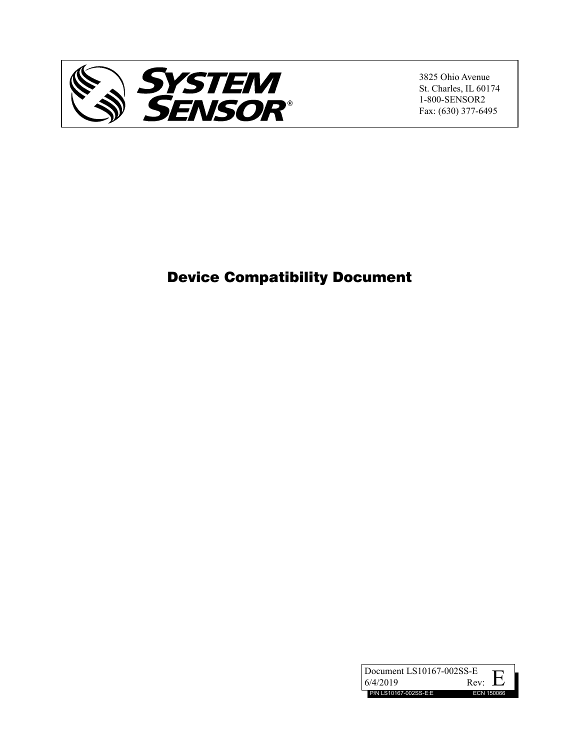

3825 Ohio Avenue St. Charles, IL 60174 1-800-SENSOR2 Fax: (630) 377-6495

# Device Compatibility Document

| Document LS10167-002SS-E |                            |
|--------------------------|----------------------------|
| 6/4/2019                 | . L. 7<br>Rev <sup>.</sup> |
| P/N LS10167-002SS-E:E    | ECN 150066                 |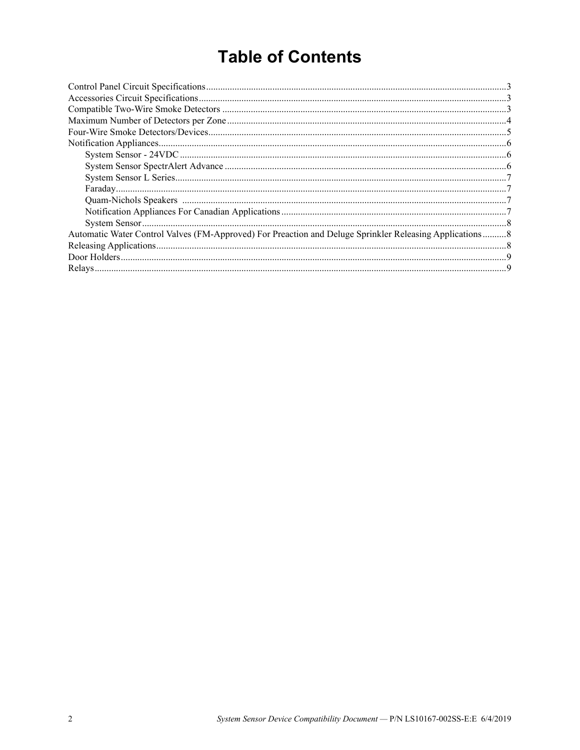# **Table of Contents**

| Automatic Water Control Valves (FM-Approved) For Preaction and Deluge Sprinkler Releasing Applications8 |  |
|---------------------------------------------------------------------------------------------------------|--|
|                                                                                                         |  |
|                                                                                                         |  |
|                                                                                                         |  |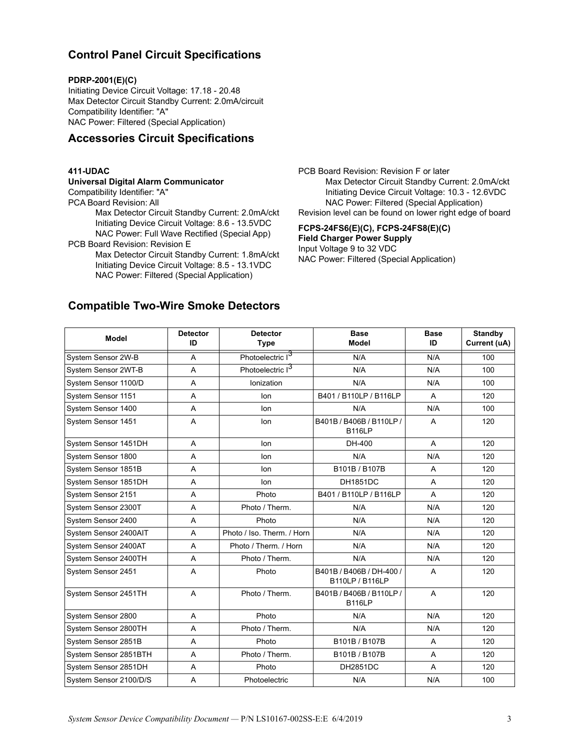## <span id="page-2-0"></span>**Control Panel Circuit Specifications**

#### **PDRP-2001(E)(C)**

Initiating Device Circuit Voltage: 17.18 - 20.48 Max Detector Circuit Standby Current: 2.0mA/circuit Compatibility Identifier: "A" NAC Power: Filtered (Special Application)

## <span id="page-2-1"></span>**Accessories Circuit Specifications**

#### **411-UDAC**

#### **Universal Digital Alarm Communicator**

Compatibility Identifier: "A"

PCA Board Revision: All

Max Detector Circuit Standby Current: 2.0mA/ckt Initiating Device Circuit Voltage: 8.6 - 13.5VDC NAC Power: Full Wave Rectified (Special App)

PCB Board Revision: Revision E

Max Detector Circuit Standby Current: 1.8mA/ckt Initiating Device Circuit Voltage: 8.5 - 13.1VDC NAC Power: Filtered (Special Application)

PCB Board Revision: Revision F or later Max Detector Circuit Standby Current: 2.0mA/ckt Initiating Device Circuit Voltage: 10.3 - 12.6VDC NAC Power: Filtered (Special Application) Revision level can be found on lower right edge of board

#### **FCPS-24FS6(E)(C), FCPS-24FS8(E)(C) Field Charger Power Supply**

Input Voltage 9 to 32 VDC NAC Power: Filtered (Special Application)

## <span id="page-2-2"></span>**Compatible Two-Wire Smoke Detectors**

| <b>Model</b>           | <b>Detector</b><br>ID | <b>Detector</b><br><b>Type</b> | <b>Base</b><br><b>Model</b>                 | <b>Base</b><br>ID | <b>Standby</b><br>Current (uA) |
|------------------------|-----------------------|--------------------------------|---------------------------------------------|-------------------|--------------------------------|
| System Sensor 2W-B     | A                     | Photoelectric I3               | N/A                                         | N/A               | 100                            |
| System Sensor 2WT-B    | A                     | Photoelectric I <sup>3</sup>   | N/A                                         | N/A               | 100                            |
| System Sensor 1100/D   | A                     | Ionization                     | N/A                                         | N/A               | 100                            |
| System Sensor 1151     | A                     | lon                            | B401 / B110LP / B116LP                      | A                 | 120                            |
| System Sensor 1400     | A                     | lon                            | N/A                                         | N/A               | 100                            |
| System Sensor 1451     | A                     | lon                            | B401B/B406B/B110LP/<br><b>B116LP</b>        | A                 | 120                            |
| System Sensor 1451DH   | A                     | lon                            | DH-400                                      | A                 | 120                            |
| System Sensor 1800     | A                     | lon                            | N/A                                         | N/A               | 120                            |
| System Sensor 1851B    | A                     | lon                            | B101B / B107B                               | A                 | 120                            |
| System Sensor 1851DH   | A                     | lon                            | <b>DH1851DC</b>                             | A                 | 120                            |
| System Sensor 2151     | A                     | Photo                          | B401 / B110LP / B116LP                      | A                 | 120                            |
| System Sensor 2300T    | A                     | Photo / Therm.                 | N/A                                         | N/A               | 120                            |
| System Sensor 2400     | A                     | Photo                          | N/A                                         | N/A               | 120                            |
| System Sensor 2400AIT  | A                     | Photo / Iso. Therm. / Horn     | N/A                                         | N/A               | 120                            |
| System Sensor 2400AT   | A                     | Photo / Therm. / Horn          | N/A                                         | N/A               | 120                            |
| System Sensor 2400TH   | A                     | Photo / Therm.                 | N/A                                         | N/A               | 120                            |
| System Sensor 2451     | A                     | Photo                          | B401B / B406B / DH-400 /<br>B110LP / B116LP | A                 | 120                            |
| System Sensor 2451TH   | A                     | Photo / Therm.                 | B401B / B406B / B110LP /<br><b>B116LP</b>   | A                 | 120                            |
| System Sensor 2800     | A                     | Photo                          | N/A                                         | N/A               | 120                            |
| System Sensor 2800TH   | A                     | Photo / Therm.                 | N/A                                         | N/A               | 120                            |
| System Sensor 2851B    | A                     | Photo                          | B101B / B107B                               | A                 | 120                            |
| System Sensor 2851BTH  | A                     | Photo / Therm.                 | B101B / B107B                               | A                 | 120                            |
| System Sensor 2851DH   | Α                     | Photo                          | <b>DH2851DC</b>                             | A                 | 120                            |
| System Sensor 2100/D/S | A                     | Photoelectric                  | N/A                                         | N/A               | 100                            |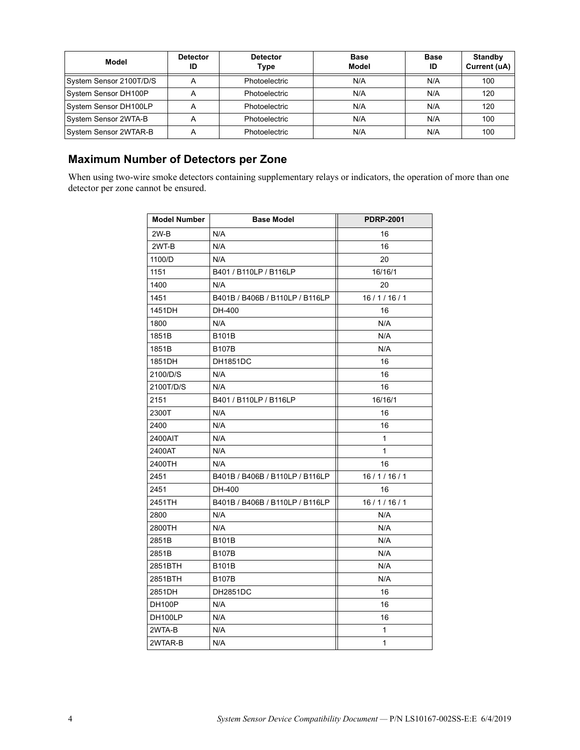| Model                   | <b>Detector</b><br>ID | <b>Detector</b><br>Type | <b>Base</b><br>Model | <b>Base</b><br>ID | <b>Standby</b><br>Current (uA) |
|-------------------------|-----------------------|-------------------------|----------------------|-------------------|--------------------------------|
| System Sensor 2100T/D/S | А                     | <b>Photoelectric</b>    | N/A                  | N/A               | 100                            |
| System Sensor DH100P    | А                     | Photoelectric           | N/A                  | N/A               | 120                            |
| System Sensor DH100LP   | A                     | <b>Photoelectric</b>    | N/A                  | N/A               | 120                            |
| System Sensor 2WTA-B    |                       | <b>Photoelectric</b>    | N/A                  | N/A               | 100                            |
| System Sensor 2WTAR-B   |                       | Photoelectric           | N/A                  | N/A               | 100                            |

# <span id="page-3-0"></span>**Maximum Number of Detectors per Zone**

When using two-wire smoke detectors containing supplementary relays or indicators, the operation of more than one detector per zone cannot be ensured.

| <b>Model Number</b> | <b>Base Model</b>               | <b>PDRP-2001</b> |
|---------------------|---------------------------------|------------------|
| $2W-B$              | N/A                             | 16               |
| 2WT-B               | N/A                             | 16               |
| 1100/D              | N/A                             | 20               |
| 1151                | B401 / B110LP / B116LP          | 16/16/1          |
| 1400                | N/A                             | 20               |
| 1451                | B401B / B406B / B110LP / B116LP | 16/1/16/1        |
| 1451DH              | DH-400                          | 16               |
| 1800                | N/A                             | N/A              |
| 1851B               | <b>B101B</b>                    | N/A              |
| 1851B               | <b>B107B</b>                    | N/A              |
| 1851DH              | <b>DH1851DC</b>                 | 16               |
| 2100/D/S            | N/A                             | 16               |
| 2100T/D/S           | N/A                             | 16               |
| 2151                | B401 / B110LP / B116LP          | 16/16/1          |
| 2300T               | N/A                             | 16               |
| 2400                | N/A                             | 16               |
| 2400AIT             | N/A                             | $\mathbf{1}$     |
| 2400AT              | N/A                             | $\mathbf{1}$     |
| 2400TH              | N/A                             | 16               |
| 2451                | B401B / B406B / B110LP / B116LP | 16/1/16/1        |
| 2451                | DH-400                          | 16               |
| 2451TH              | B401B / B406B / B110LP / B116LP | 16/1/16/1        |
| 2800                | N/A                             | N/A              |
| 2800TH              | N/A                             | N/A              |
| 2851B               | <b>B101B</b>                    | N/A              |
| 2851B               | <b>B107B</b>                    | N/A              |
| 2851BTH             | <b>B101B</b>                    | N/A              |
| 2851BTH             | <b>B107B</b>                    | N/A              |
| 2851DH              | DH2851DC                        | 16               |
| <b>DH100P</b>       | N/A                             | 16               |
| DH100LP             | N/A                             | 16               |
| 2WTA-B              | N/A                             | 1                |
| 2WTAR-B             | N/A                             | $\mathbf{1}$     |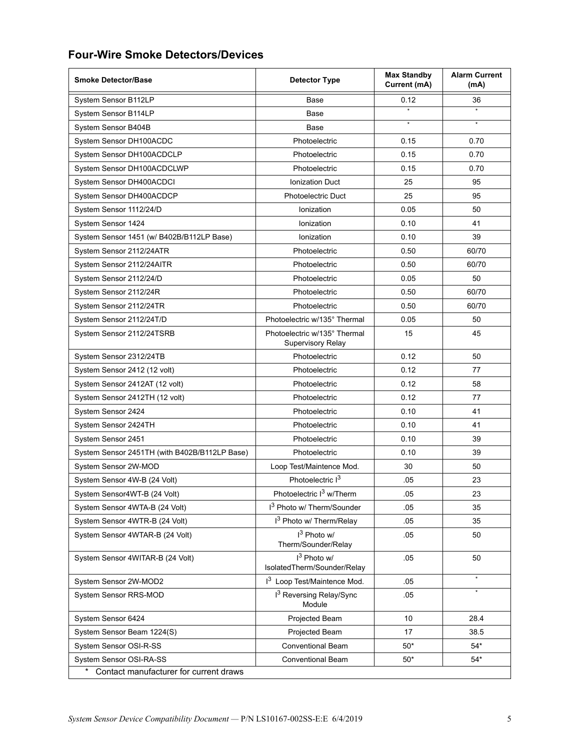# <span id="page-4-0"></span>**Four-Wire Smoke Detectors/Devices**

| <b>Smoke Detector/Base</b>                    | <b>Detector Type</b>                                     |         | <b>Alarm Current</b><br>(mA) |  |  |  |
|-----------------------------------------------|----------------------------------------------------------|---------|------------------------------|--|--|--|
| System Sensor B112LP                          | Base                                                     | 0.12    | 36                           |  |  |  |
| System Sensor B114LP                          | Base                                                     |         |                              |  |  |  |
| System Sensor B404B                           | Base                                                     | $\star$ | $\star$                      |  |  |  |
| System Sensor DH100ACDC                       | Photoelectric                                            | 0.15    | 0.70                         |  |  |  |
| System Sensor DH100ACDCLP                     | Photoelectric                                            | 0.15    | 0.70                         |  |  |  |
| System Sensor DH100ACDCLWP                    | Photoelectric                                            | 0.15    | 0.70                         |  |  |  |
| System Sensor DH400ACDCI                      | <b>Ionization Duct</b>                                   | 25      | 95                           |  |  |  |
| System Sensor DH400ACDCP                      | Photoelectric Duct                                       | 25      | 95                           |  |  |  |
| System Sensor 1112/24/D                       | Ionization                                               | 0.05    | 50                           |  |  |  |
| System Sensor 1424                            | Ionization                                               | 0.10    | 41                           |  |  |  |
| System Sensor 1451 (w/ B402B/B112LP Base)     | Ionization                                               | 0.10    | 39                           |  |  |  |
| System Sensor 2112/24ATR                      | Photoelectric                                            | 0.50    | 60/70                        |  |  |  |
| System Sensor 2112/24AITR                     | Photoelectric                                            | 0.50    | 60/70                        |  |  |  |
| System Sensor 2112/24/D                       | Photoelectric                                            | 0.05    | 50                           |  |  |  |
| System Sensor 2112/24R                        | Photoelectric                                            | 0.50    | 60/70                        |  |  |  |
| System Sensor 2112/24TR                       | Photoelectric                                            | 0.50    | 60/70                        |  |  |  |
| System Sensor 2112/24T/D                      | Photoelectric w/135° Thermal                             | 0.05    | 50                           |  |  |  |
| System Sensor 2112/24TSRB                     | Photoelectric w/135° Thermal<br><b>Supervisory Relay</b> | 15      | 45                           |  |  |  |
| System Sensor 2312/24TB                       | Photoelectric                                            | 0.12    | 50                           |  |  |  |
| System Sensor 2412 (12 volt)                  | Photoelectric                                            | 0.12    | 77                           |  |  |  |
| System Sensor 2412AT (12 volt)                | Photoelectric                                            | 0.12    | 58                           |  |  |  |
| System Sensor 2412TH (12 volt)                | Photoelectric                                            | 0.12    | 77                           |  |  |  |
| System Sensor 2424                            | Photoelectric                                            | 0.10    | 41                           |  |  |  |
| System Sensor 2424TH                          | Photoelectric                                            | 0.10    | 41                           |  |  |  |
| System Sensor 2451                            | Photoelectric                                            | 0.10    | 39                           |  |  |  |
| System Sensor 2451TH (with B402B/B112LP Base) | Photoelectric                                            | 0.10    | 39                           |  |  |  |
| System Sensor 2W-MOD                          | Loop Test/Maintence Mod.                                 | 30      | 50                           |  |  |  |
| System Sensor 4W-B (24 Volt)                  | Photoelectric I3                                         | .05     | 23                           |  |  |  |
| System Sensor4WT-B (24 Volt)                  | Photoelectric I <sup>3</sup> w/Therm                     | .05     | 23                           |  |  |  |
| System Sensor 4WTA-B (24 Volt)                | I <sup>3</sup> Photo w/ Therm/Sounder                    | .05     | 35                           |  |  |  |
| System Sensor 4WTR-B (24 Volt)                | I <sup>3</sup> Photo w/ Therm/Relay                      | .05     | 35                           |  |  |  |
| System Sensor 4WTAR-B (24 Volt)               | I <sup>3</sup> Photo w/<br>Therm/Sounder/Relay           | .05     | 50                           |  |  |  |
| System Sensor 4WITAR-B (24 Volt)              | $I3$ Photo w/<br>IsolatedTherm/Sounder/Relay             | .05     | 50                           |  |  |  |
| System Sensor 2W-MOD2                         | 13 Loop Test/Maintence Mod.                              | .05     | $\star$                      |  |  |  |
| System Sensor RRS-MOD                         | 13 Reversing Relay/Sync<br>Module                        | .05     |                              |  |  |  |
| System Sensor 6424                            | Projected Beam                                           | 10      | 28.4                         |  |  |  |
| System Sensor Beam 1224(S)                    | Projected Beam                                           | 17      | 38.5                         |  |  |  |
| System Sensor OSI-R-SS                        | <b>Conventional Beam</b>                                 | $50*$   | $54*$                        |  |  |  |
| System Sensor OSI-RA-SS                       | <b>Conventional Beam</b>                                 | $50*$   | $54*$                        |  |  |  |
| Contact manufacturer for current draws        |                                                          |         |                              |  |  |  |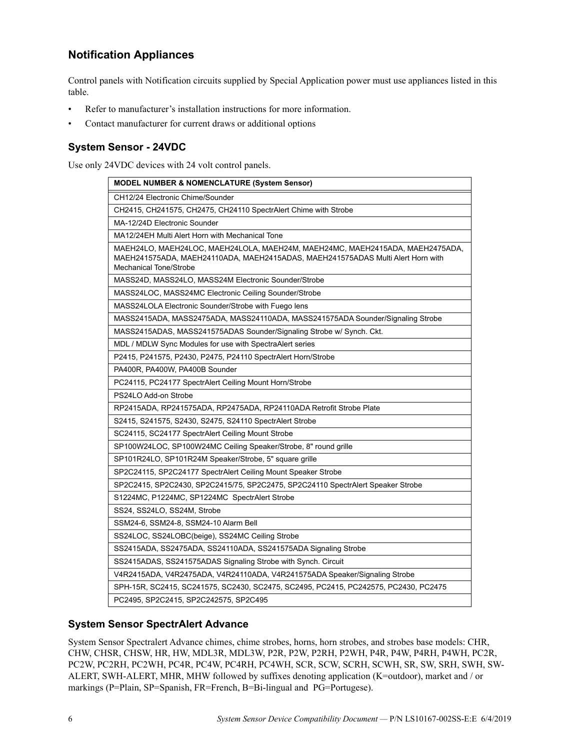# <span id="page-5-0"></span>**Notification Appliances**

Control panels with Notification circuits supplied by Special Application power must use appliances listed in this table.

- Refer to manufacturer's installation instructions for more information.
- Contact manufacturer for current draws or additional options

## <span id="page-5-1"></span>**System Sensor - 24VDC**

Use only 24VDC devices with 24 volt control panels.

| <b>MODEL NUMBER &amp; NOMENCLATURE (System Sensor)</b>                                                                                                                                            |
|---------------------------------------------------------------------------------------------------------------------------------------------------------------------------------------------------|
| CH12/24 Electronic Chime/Sounder                                                                                                                                                                  |
| CH2415, CH241575, CH2475, CH24110 SpectrAlert Chime with Strobe                                                                                                                                   |
| MA-12/24D Electronic Sounder                                                                                                                                                                      |
| MA12/24EH Multi Alert Horn with Mechanical Tone                                                                                                                                                   |
| MAEH24LO, MAEH24LOC, MAEH24LOLA, MAEH24M, MAEH24MC, MAEH2415ADA, MAEH2475ADA,<br>MAEH241575ADA, MAEH24110ADA, MAEH2415ADAS, MAEH241575ADAS Multi Alert Horn with<br><b>Mechanical Tone/Strobe</b> |
| MASS24D, MASS24LO, MASS24M Electronic Sounder/Strobe                                                                                                                                              |
| MASS24LOC, MASS24MC Electronic Ceiling Sounder/Strobe                                                                                                                                             |
| MASS24LOLA Electronic Sounder/Strobe with Fuego lens                                                                                                                                              |
| MASS2415ADA, MASS2475ADA, MASS24110ADA, MASS241575ADA Sounder/Signaling Strobe                                                                                                                    |
| MASS2415ADAS, MASS241575ADAS Sounder/Signaling Strobe w/ Synch. Ckt.                                                                                                                              |
| MDL / MDLW Sync Modules for use with SpectraAlert series                                                                                                                                          |
| P2415, P241575, P2430, P2475, P24110 SpectrAlert Horn/Strobe                                                                                                                                      |
| PA400R, PA400W, PA400B Sounder                                                                                                                                                                    |
| PC24115, PC24177 SpectrAlert Ceiling Mount Horn/Strobe                                                                                                                                            |
| PS24LO Add-on Strobe                                                                                                                                                                              |
| RP2415ADA, RP241575ADA, RP2475ADA, RP24110ADA Retrofit Strobe Plate                                                                                                                               |
| S2415, S241575, S2430, S2475, S24110 SpectrAlert Strobe                                                                                                                                           |
| SC24115, SC24177 SpectrAlert Ceiling Mount Strobe                                                                                                                                                 |
| SP100W24LOC, SP100W24MC Ceiling Speaker/Strobe, 8" round grille                                                                                                                                   |
| SP101R24LO, SP101R24M Speaker/Strobe, 5" square grille                                                                                                                                            |
| SP2C24115, SP2C24177 SpectrAlert Ceiling Mount Speaker Strobe                                                                                                                                     |
| SP2C2415, SP2C2430, SP2C2415/75, SP2C2475, SP2C24110 SpectrAlert Speaker Strobe                                                                                                                   |
| S1224MC, P1224MC, SP1224MC SpectrAlert Strobe                                                                                                                                                     |
| SS24, SS24LO, SS24M, Strobe                                                                                                                                                                       |
| SSM24-6, SSM24-8, SSM24-10 Alarm Bell                                                                                                                                                             |
| SS24LOC, SS24LOBC(beige), SS24MC Ceiling Strobe                                                                                                                                                   |
| SS2415ADA, SS2475ADA, SS24110ADA, SS241575ADA Signaling Strobe                                                                                                                                    |
| SS2415ADAS, SS241575ADAS Signaling Strobe with Synch. Circuit                                                                                                                                     |
| V4R2415ADA, V4R2475ADA, V4R24110ADA, V4R241575ADA Speaker/Signaling Strobe                                                                                                                        |
| SPH-15R, SC2415, SC241575, SC2430, SC2475, SC2495, PC2415, PC242575, PC2430, PC2475                                                                                                               |
| PC2495, SP2C2415, SP2C242575, SP2C495                                                                                                                                                             |

### <span id="page-5-2"></span>**System Sensor SpectrAlert Advance**

System Sensor Spectralert Advance chimes, chime strobes, horns, horn strobes, and strobes base models: CHR, CHW, CHSR, CHSW, HR, HW, MDL3R, MDL3W, P2R, P2W, P2RH, P2WH, P4R, P4W, P4RH, P4WH, PC2R, PC2W, PC2RH, PC2WH, PC4R, PC4W, PC4RH, PC4WH, SCR, SCW, SCRH, SCWH, SR, SW, SRH, SWH, SW-ALERT, SWH-ALERT, MHR, MHW followed by suffixes denoting application (K=outdoor), market and / or markings (P=Plain, SP=Spanish, FR=French, B=Bi-lingual and PG=Portugese).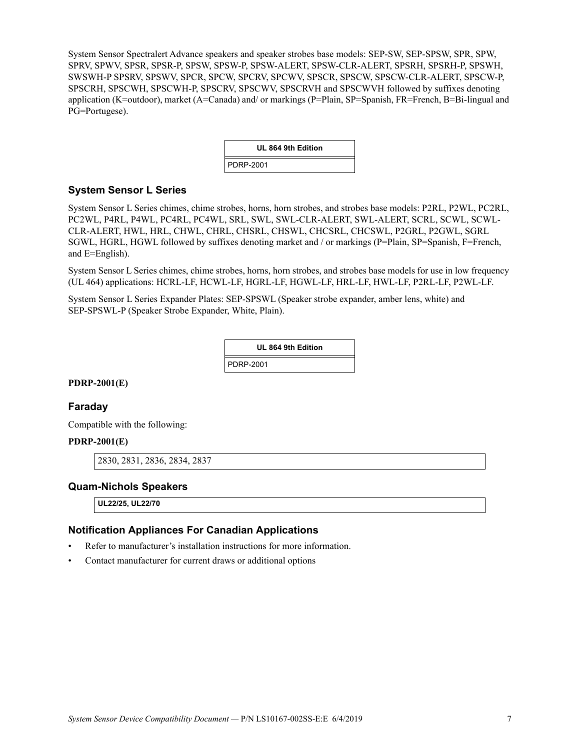System Sensor Spectralert Advance speakers and speaker strobes base models: SEP-SW, SEP-SPSW, SPR, SPW, SPRV, SPWV, SPSR, SPSR-P, SPSW, SPSW-P, SPSW-ALERT, SPSW-CLR-ALERT, SPSRH, SPSRH-P, SPSWH, SWSWH-P SPSRV, SPSWV, SPCR, SPCW, SPCRV, SPCWV, SPSCR, SPSCW, SPSCW-CLR-ALERT, SPSCW-P, SPSCRH, SPSCWH, SPSCWH-P, SPSCRV, SPSCWV, SPSCRVH and SPSCWVH followed by suffixes denoting application (K=outdoor), market (A=Canada) and/ or markings (P=Plain, SP=Spanish, FR=French, B=Bi-lingual and PG=Portugese).

| UL 864 9th Edition |
|--------------------|
| <b>PDRP-2001</b>   |

#### <span id="page-6-0"></span>**System Sensor L Series**

System Sensor L Series chimes, chime strobes, horns, horn strobes, and strobes base models: P2RL, P2WL, PC2RL, PC2WL, P4RL, P4WL, PC4RL, PC4WL, SRL, SWL, SWL-CLR-ALERT, SWL-ALERT, SCRL, SCWL, SCWL-CLR-ALERT, HWL, HRL, CHWL, CHRL, CHSRL, CHSWL, CHCSRL, CHCSWL, P2GRL, P2GWL, SGRL SGWL, HGRL, HGWL followed by suffixes denoting market and / or markings (P=Plain, SP=Spanish, F=French, and E=English).

System Sensor L Series chimes, chime strobes, horns, horn strobes, and strobes base models for use in low frequency (UL 464) applications: HCRL-LF, HCWL-LF, HGRL-LF, HGWL-LF, HRL-LF, HWL-LF, P2RL-LF, P2WL-LF.

System Sensor L Series Expander Plates: SEP-SPSWL (Speaker strobe expander, amber lens, white) and SEP-SPSWL-P (Speaker Strobe Expander, White, Plain).

| UL 864 9th Edition |  |
|--------------------|--|
| PDRP-2001          |  |

#### **PDRP-2001(E)**

#### <span id="page-6-1"></span>**Faraday**

Compatible with the following:

#### **PDRP-2001(E)**

2830, 2831, 2836, 2834, 2837

#### <span id="page-6-2"></span>**Quam-Nichols Speakers**

**UL22/25, UL22/70**

#### <span id="page-6-3"></span>**Notification Appliances For Canadian Applications**

- Refer to manufacturer's installation instructions for more information.
- Contact manufacturer for current draws or additional options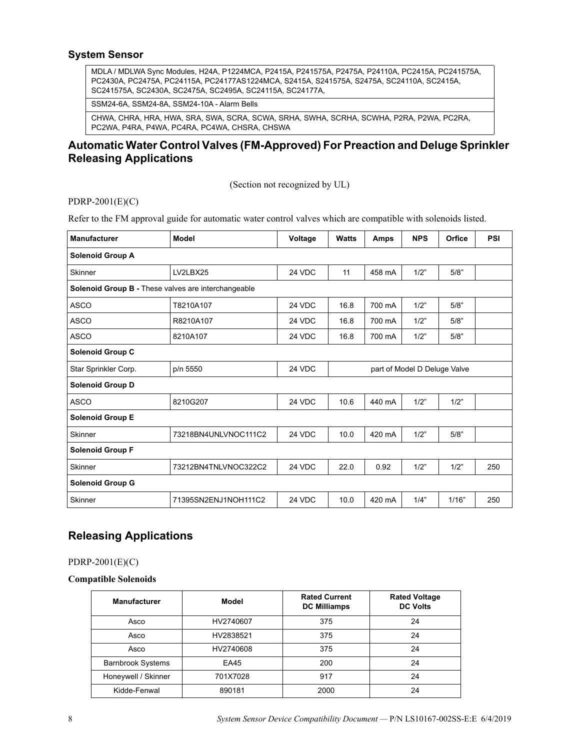#### <span id="page-7-0"></span>**System Sensor**

MDLA / MDLWA Sync Modules, H24A, P1224MCA, P2415A, P241575A, P2475A, P24110A, PC2415A, PC241575A, PC2430A, PC2475A, PC24115A, PC24177AS1224MCA, S2415A, S241575A, S2475A, SC24110A, SC2415A, SC241575A, SC2430A, SC2475A, SC2495A, SC24115A, SC24177A,

SSM24-6A, SSM24-8A, SSM24-10A - Alarm Bells

CHWA, CHRA, HRA, HWA, SRA, SWA, SCRA, SCWA, SRHA, SWHA, SCRHA, SCWHA, P2RA, P2WA, PC2RA, PC2WA, P4RA, P4WA, PC4RA, PC4WA, CHSRA, CHSWA

## <span id="page-7-1"></span>**Automatic Water Control Valves (FM-Approved) For Preaction and Deluge Sprinkler Releasing Applications**

(Section not recognized by UL)

PDRP-2001(E)(C)

Refer to the FM approval guide for automatic water control valves which are compatible with solenoids listed.

| <b>Manufacturer</b>                                 | <b>Model</b>         | Voltage | <b>Watts</b> | Amps   | <b>NPS</b>                   | Orfice | PSI |
|-----------------------------------------------------|----------------------|---------|--------------|--------|------------------------------|--------|-----|
| <b>Solenoid Group A</b>                             |                      |         |              |        |                              |        |     |
| <b>Skinner</b>                                      | LV2LBX25             | 24 VDC  | 11           | 458 mA | 1/2"                         | 5/8"   |     |
| Solenoid Group B - These valves are interchangeable |                      |         |              |        |                              |        |     |
| <b>ASCO</b>                                         | T8210A107            | 24 VDC  | 16.8         | 700 mA | 1/2"                         | 5/8"   |     |
| <b>ASCO</b>                                         | R8210A107            | 24 VDC  | 16.8         | 700 mA | 1/2"                         | 5/8"   |     |
| ASCO                                                | 8210A107             | 24 VDC  | 16.8         | 700 mA | 1/2"                         | 5/8"   |     |
| <b>Solenoid Group C</b>                             |                      |         |              |        |                              |        |     |
| Star Sprinkler Corp.                                | p/n 5550             | 24 VDC  |              |        | part of Model D Deluge Valve |        |     |
| <b>Solenoid Group D</b>                             |                      |         |              |        |                              |        |     |
| <b>ASCO</b>                                         | 8210G207             | 24 VDC  | 10.6         | 440 mA | 1/2"                         | 1/2"   |     |
| <b>Solenoid Group E</b>                             |                      |         |              |        |                              |        |     |
| Skinner                                             | 73218BN4UNLVNOC111C2 | 24 VDC  | 10.0         | 420 mA | 1/2"                         | 5/8"   |     |
| <b>Solenoid Group F</b>                             |                      |         |              |        |                              |        |     |
| <b>Skinner</b>                                      | 73212BN4TNLVNOC322C2 | 24 VDC  | 22.0         | 0.92   | 1/2"                         | 1/2"   | 250 |
| <b>Solenoid Group G</b>                             |                      |         |              |        |                              |        |     |
| Skinner                                             | 71395SN2ENJ1NOH111C2 | 24 VDC  | 10.0         | 420 mA | 1/4"                         | 1/16"  | 250 |

### <span id="page-7-2"></span>**Releasing Applications**

PDRP-2001(E)(C)

#### **Compatible Solenoids**

| <b>Manufacturer</b>      | Model     | <b>Rated Current</b><br><b>DC Milliamps</b> | <b>Rated Voltage</b><br><b>DC Volts</b> |
|--------------------------|-----------|---------------------------------------------|-----------------------------------------|
| Asco                     | HV2740607 | 375                                         | 24                                      |
| Asco                     | HV2838521 | 375                                         | 24                                      |
| Asco                     | HV2740608 | 375                                         | 24                                      |
| <b>Barnbrook Systems</b> | EA45      | 200                                         | 24                                      |
| Honeywell / Skinner      | 701X7028  | 917                                         | 24                                      |
| Kidde-Fenwal             | 890181    | 2000                                        | 24                                      |